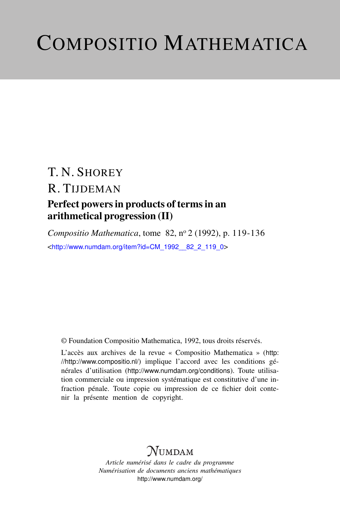# COMPOSITIO MATHEMATICA

# T. N. SHOREY R. TIJDEMAN Perfect powers in products of terms in an

# arithmetical progression (II)

*Compositio Mathematica*, tome 82, nº 2 (1992), p. 119-136 <[http://www.numdam.org/item?id=CM\\_1992\\_\\_82\\_2\\_119\\_0](http://www.numdam.org/item?id=CM_1992__82_2_119_0)>

© Foundation Compositio Mathematica, 1992, tous droits réservés.

L'accès aux archives de la revue « Compositio Mathematica » ([http:](http://http://www.compositio.nl/) [//http://www.compositio.nl/](http://http://www.compositio.nl/)) implique l'accord avec les conditions générales d'utilisation (<http://www.numdam.org/conditions>). Toute utilisation commerciale ou impression systématique est constitutive d'une infraction pénale. Toute copie ou impression de ce fichier doit contenir la présente mention de copyright.

# **NUMDAM**

*Article numérisé dans le cadre du programme Numérisation de documents anciens mathématiques* <http://www.numdam.org/>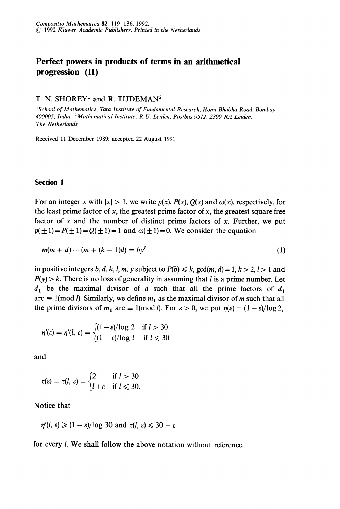## Perfect powers in products of terms in an arithmetical progression (II)

## T. N. SHOREY<sup>1</sup> and R. TIJDEMAN<sup>2</sup>

<sup>1</sup>School of Mathematics, Tata Institute of Fundamental Research, Homi Bhabha Road, Bombay 400005, lndia; 2Mathematical Institute, R. U. Leiden, Postbus 9512, 2300 RA Leiden, The Netherlands

Received 11 December 1989; accepted 22 August 1991

#### Section 1

For an integer x with  $|x| > 1$ , we write  $p(x)$ ,  $P(x)$ ,  $Q(x)$  and  $\omega(x)$ , respectively, for the least prime factor of x, the greatest prime factor of x, the greatest square free factor of  $x$  and the number of distinct prime factors of  $x$ . Further, we put  $p(\pm 1) = P(\pm 1) = Q(\pm 1) = 1$  and  $\omega(\pm 1) = 0$ . We consider the equation

$$
m(m+d)\cdots(m+(k-1)d) = byl
$$
 (1)

in positive integers b, d, k, l, m, y subject to  $P(b) \le k$ ,  $gcd(m, d) = 1, k > 2, l > 1$  and  $P(y) > k$ . There is no loss of generality in assuming that *l* is a prime number. Let  $d_1$  be the maximal divisor of d such that all the prime factors of  $d_1$  are  $\equiv 1 \pmod{l}$ . Similarly, we define  $m_1$  as the maximal divisor of m such that all the prime divisors of  $m_1$  are  $\equiv 1 \pmod{l}$ . For  $\varepsilon > 0$ , we put  $\eta(\varepsilon) = (1 - \varepsilon)/\log 2$ ,

$$
\eta'(\varepsilon) = \eta'(l, \varepsilon) = \begin{cases} (1-\varepsilon)/\log 2 & \text{if } l > 30 \\ (1-\varepsilon)/\log l & \text{if } l \leq 30 \end{cases}
$$

and

$$
\tau(\varepsilon) = \tau(l, \varepsilon) = \begin{cases} 2 & \text{if } l > 30 \\ l + \varepsilon & \text{if } l \leq 30 \end{cases}
$$

Notice that

 $\eta'(l, \varepsilon) \geq (1 - \varepsilon)/\log 30$  and  $\tau(l, \varepsilon) \leq 30 + \varepsilon$ 

for every *l*. We shall follow the above notation without reference.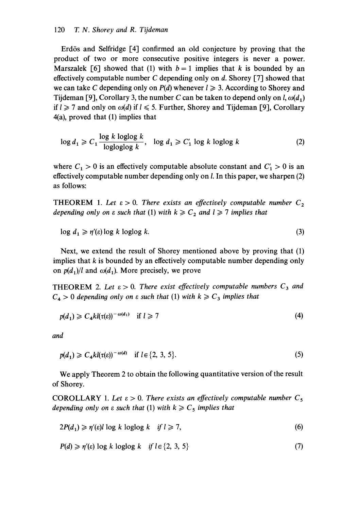Erdôs and Selfridge [4] confirmed an old conjecture by proving that the product of two or more consecutive positive integers is never a power. Marszalek [6] showed that (1) with  $b = 1$  implies that k is bounded by an effectively computable number C depending only on  $d$ . Shorey [7] showed that we can take C depending only on  $P(d)$  whenever  $l \geq 3$ . According to Shorey and Tijdeman [9], Corollary 3, the number C can be taken to depend only on  $l, \omega(d_1)$ if  $l \ge 7$  and only on  $\omega(d)$  if  $l \le 5$ . Further, Shorey and Tijdeman [9], Corollary 4(a), proved that (1) implies that

$$
\log d_1 \geqslant C_1 \frac{\log k \log \log k}{\log \log \log k}, \quad \log d_1 \geqslant C'_1 \log k \log \log k \tag{2}
$$

where  $C_1 > 0$  is an effectively computable absolute constant and  $C_1 > 0$  is an effectively computable number depending only on 1. In this paper, we sharpen (2) as follows:

THEOREM 1. Let  $\varepsilon > 0$ . There exists an effectively computable number  $C_2$ depending only on  $\varepsilon$  such that (1) with  $k \geq C_2$  and  $l \geq 7$  implies that

$$
\log d_1 \geqslant \eta'(\varepsilon) \log k \log \log k. \tag{3}
$$

Next, we extend the result of Shorey mentioned above by proving that (1) implies that  $k$  is bounded by an effectively computable number depending only on  $p(d_1)/l$  and  $\omega(d_1)$ . More precisely, we prove

**THEOREM** 2. Let  $\varepsilon > 0$ . There exist effectively computable numbers  $C_3$  and  $C_4 > 0$  depending only on  $\varepsilon$  such that (1) with  $k \geq C_3$  implies that

$$
p(d_1) \geqslant C_4 k l(\tau(\varepsilon))^{-\omega(d_1)} \quad \text{if } l \geqslant 7 \tag{4}
$$

and

$$
p(d_1) \geqslant C_4 k l(\tau(\varepsilon))^{-\omega(d)} \quad \text{if } l \in \{2, 3, 5\}. \tag{5}
$$

We apply Theorem 2 to obtain the following quantitative version of the result of Shorey.

COROLLARY 1. Let  $\varepsilon > 0$ . There exists an effectively computable number  $C_5$ depending only on  $\varepsilon$  such that (1) with  $k \geqslant C_5$  implies that

$$
2P(d_1) \ge \eta'(\varepsilon)l \log k \log \log k \quad \text{if } l \ge 7,
$$
\n<sup>(6)</sup>

$$
P(d) \geqslant \eta'(e) \log k \log \log k \quad \text{if } l \in \{2, 3, 5\} \tag{7}
$$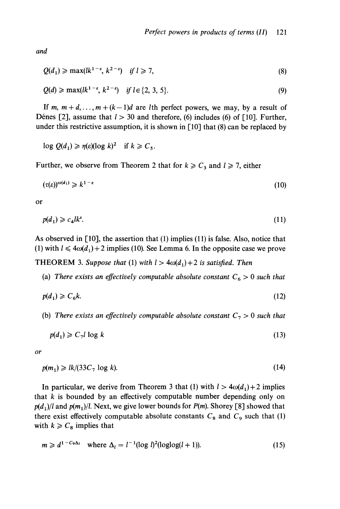and

$$
Q(d_1) \ge \max(lk^{1-\epsilon}, k^{2-\epsilon}) \quad \text{if } l \ge 7,\tag{8}
$$

$$
Q(d) \ge \max(lk^{1-\epsilon}, k^{2-\epsilon}) \quad \text{if } l \in \{2, 3, 5\}. \tag{9}
$$

If m,  $m + d, \ldots, m + (k-1)d$  are lth perfect powers, we may, by a result of Dénes [2], assume that  $l > 30$  and therefore, (6) includes (6) of [10]. Further, under this restrictive assumption, it is shown in  $\lceil 10 \rceil$  that (8) can be replaced by

 $\log Q(d_1) \ge \eta(\varepsilon)(\log k)^2$  if  $k \ge C_5$ .

Further, we observe from Theorem 2 that for  $k \ge C_3$  and  $l \ge 7$ , either

$$
(\tau(\varepsilon))^{\omega(d_1)} \geqslant k^{1-\varepsilon} \tag{10}
$$

or

$$
p(d_1) \geqslant c_4 l k^e. \tag{11}
$$

As observed in [10], the assertion that (1) implies (11) is false. Also, notice that (1) with  $l \leq 4\omega(d_1) + 2$  implies (10). See Lemma 6. In the opposite case we prove

**THEOREM 3. Suppose that (1) with**  $l > 4\omega(d_1) + 2$  **is satisfied. Then** 

(a) There exists an effectively computable absolute constant  $C_6 > 0$  such that

$$
p(d_1) \geqslant C_6 k. \tag{12}
$$

(b) There exists an effectively computable absolute constant  $C_7 > 0$  such that

$$
p(d_1) \geqslant C_7 l \log k \tag{13}
$$

or

$$
p(m_1) \geqslant lk/(33C_7 \log k). \tag{14}
$$

In particular, we derive from Theorem 3 that (1) with  $l > 4\omega(d_1) + 2$  implies that  $k$  is bounded by an effectively computable number depending only on  $p(d_1)/l$  and  $p(m_1)/l$ . Next, we give lower bounds for  $P(m)$ . Shorey [8] showed that there exist effectively computable absolute constants  $C_8$  and  $C_9$  such that (1) with  $k \geq C_8$  implies that

$$
m \geq d^{1-C_9\Delta_l} \quad \text{where } \Delta_l = l^{-1} (\log l)^2 (\log \log (l+1)). \tag{15}
$$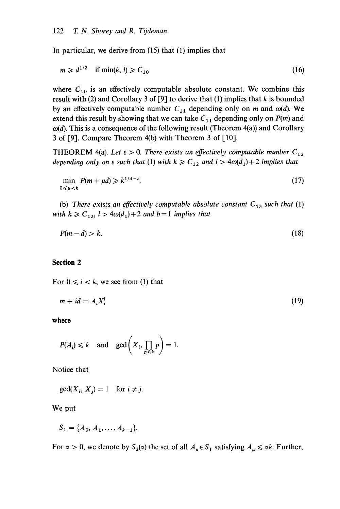In particular, we derive from (15) that (1) implies that

$$
m \geq d^{1/2} \quad \text{if } \min(k, l) \geq C_{10} \tag{16}
$$

where  $C_{10}$  is an effectively computable absolute constant. We combine this result with (2) and Corollary 3 of [9] to derive that (1) implies that  $k$  is bounded by an effectively computable number  $C_{11}$  depending only on m and  $\omega(d)$ . We extend this result by showing that we can take  $C_{11}$  depending only on  $P(m)$  and  $\omega(d)$ . This is a consequence of the following result (Theorem 4(a)) and Corollary 3 of [9]. Compare Theorem 4(b) with Theorem 3 of [10].

THEOREM 4(a). Let  $\varepsilon > 0$ . There exists an effectively computable number  $C_{12}$ depending only on  $\varepsilon$  such that (1) with  $k \geq C_{12}$  and  $l > 4\omega(d_1) + 2$  implies that

$$
\min_{0 \le \mu < k} P(m + \mu d) \ge k^{1/3 - \varepsilon}.\tag{17}
$$

(b) There exists an effectively computable absolute constant  $C_{13}$  such that (1) with  $k \geq C_{13}$ ,  $l > 4\omega(d_1) + 2$  and  $b = 1$  implies that

$$
P(m-d) > k. \tag{18}
$$

#### Section 2

For  $0 \le i \le k$ , we see from (1) that

$$
m + id = A_i X_i^l \tag{19}
$$

where

$$
P(A_i) \le k
$$
 and  $gcd(X_i, \prod_{p \le k} p) = 1$ 

Notice that

 $gcd(X_i, X_j) = 1$  for  $i \neq j$ .

We put

$$
S_1 = \{A_0, A_1, \ldots, A_{k-1}\}.
$$

For  $\alpha > 0$ , we denote by  $S_2(\alpha)$  the set of all  $A_\mu \in S_1$  satisfying  $A_\mu \le \alpha k$ . Further,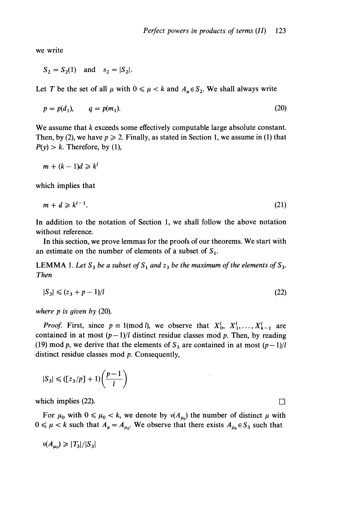we write

 $S_2 = S_2(1)$  and  $S_2 = |S_2|$ .

Let T be the set of all  $\mu$  with  $0 \le \mu < k$  and  $A_{\mu} \in S_2$ . We shall always write

$$
p = p(d_1), \qquad q = p(m_1). \tag{20}
$$

We assume that k exceeds some effectively computable large absolute constant. Then, by (2), we have  $p \ge 2$ . Finally, as stated in Section 1, we assume in (1) that  $P(y) > k$ . Therefore, by (1),

$$
m + (k-1)d \geq k^l
$$

which implies that

$$
m + d \geqslant k^{l-1}.\tag{21}
$$

In addition to the notation of Section 1, we shall follow the above notation without reference.

In this section, we prove lemmas for the proofs of our theorems. We start with an estimate on the number of elements of a subset of  $S_1$ .

LEMMA 1. Let  $S_3$  be a subset of  $S_1$  and  $z_3$  be the maximum of the elements of  $S_3$ . Then

$$
|S_3| \leqslant (z_3 + p - 1)/l \tag{22}
$$

where  $p$  is given by  $(20)$ .

*Proof.* First, since  $p \equiv 1 \pmod{l}$ , we observe that  $X_0^l, X_1^l, \ldots, X_{k-1}^l$  are contained in at most  $(p-1)/l$  distinct residue classes mod p. Then, by reading (19) mod p, we derive that the elements of  $S_3$  are contained in at most  $(p-1)/l$ distinct residue classes mod *p*. Consequently,

$$
|S_3| \leq ([\frac{z_3}{p}] + 1) \left(\frac{p-1}{l}\right)
$$

which implies (22).

For  $\mu_0$  with  $0 \le \mu_0 < k$ , we denote by  $v(A_{\mu_0})$  the number of distinct  $\mu$  with  $0 \le \mu < k$  such that  $A_{\mu} = A_{\mu_0}$ . We observe that there exists  $A_{\mu_0} \in S_3$  such that

$$
\nu(A_{\mu_0}) \geqslant |T_3|/|S_3|
$$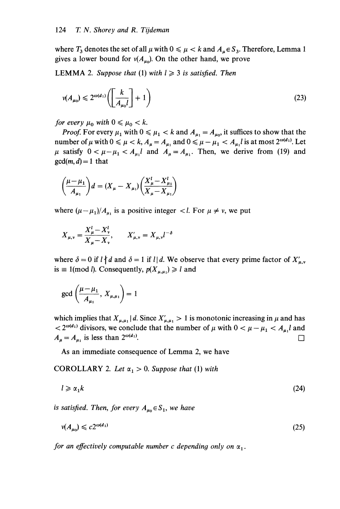where  $T_3$  denotes the set of all  $\mu$  with  $0 \le \mu < k$  and  $A_\mu \in S_3$ . Therefore, Lemma 1 gives a lower bound for  $v(A_{\mu_0})$ . On the other hand, we prove

**LEMMA** 2. Suppose that (1) with  $l \geq 3$  is satisfied. Then

$$
\nu(A_{\mu_0}) \leqslant 2^{\omega(d_1)} \left( \left[ \frac{k}{A_{\mu_0} l} \right] + 1 \right) \tag{23}
$$

for every  $\mu_0$  with  $0 \le \mu_0 < k$ .

*Proof.* For every  $\mu_1$  with  $0 \le \mu_1 < k$  and  $A_{\mu_1} = A_{\mu_0}$ , it suffices to show that the number of  $\mu$  with  $0 \le \mu < k$ ,  $A_{\mu} = A_{\mu_1}$  and  $0 \le \mu - \mu_1 < A_{\mu_1}$  is at most  $2^{\omega(d_1)}$ . Let  $\mu$  satisfy  $0 < \mu - \mu_1 < A_{\mu_1}l$  and  $A_{\mu} = A_{\mu_1}l$ . Then, we derive from (19) and  $gcd(m, d) = 1$  that

$$
\left(\frac{\mu-\mu_1}{A_{\mu_1}}\right)d = (X_{\mu} - X_{\mu_1})\left(\frac{X_{\mu}^l - X_{\mu_1}^l}{X_{\mu} - X_{\mu_1}}\right)
$$

where  $(\mu - \mu_1)/A_{\mu_1}$  is a positive integer  $\langle l.$  For  $\mu \neq \nu$ , we put

$$
X_{\mu,\nu} = \frac{X_{\mu}^l - X_{\nu}^l}{X_{\mu} - X_{\nu}}, \qquad X_{\mu,\nu}' = X_{\mu,\nu}l^{-\delta}
$$

where  $\delta = 0$  if  $l \nmid d$  and  $\delta = 1$  if  $l \mid d$ . We observe that every prime factor of  $X'_{u,v}$ is  $\equiv 1 \pmod{l}$ . Consequently,  $p(X_{\mu,\mu}) \geq l$  and

$$
\gcd\left(\frac{\mu-\mu_1}{A_{\mu_1}}, X_{\mu,\mu_1}\right)=1
$$

which implies that  $X_{\mu,\mu_1}|d$ . Since  $X'_{\mu,\mu_1} > 1$  is monotonic increasing in  $\mu$  and has  $2^{a_0(d_1)}$  divisors, we conclude that the number of  $\mu$  with  $0 < \mu - \mu_1 < A_{\mu_1}l$  and  $A_{\mu} = A_{\mu_1}$  is less than  $2^{\omega(d_1)}$ .

As an immediate consequence of Lemma 2, we have

**COROLLARY** 2. Let  $\alpha_1 > 0$ . Suppose that (1) with

$$
l \geqslant \alpha_1 k \tag{24}
$$

is satisfied. Then, for every  $A_{\mu_0} \in S_1$ , we have

$$
v(A_{\mu_0}) \leqslant c2^{\omega(d_1)}\tag{25}
$$

for an effectively computable number c depending only on  $\alpha_1$ .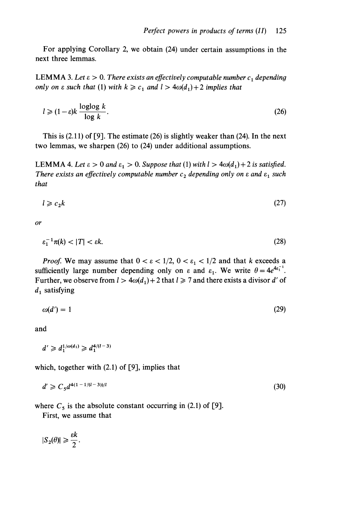For applying Corollary 2, we obtain (24) under certain assumptions in the next three lemmas.

LEMMA 3. Let  $\varepsilon > 0$ . There exists an effectively computable number  $c_1$  depending only on  $\varepsilon$  such that (1) with  $k \geq c_1$  and  $l > 4\omega(d_1) + 2$  implies that

$$
l \geqslant (1 - \varepsilon)k \frac{\log \log k}{\log k}.
$$

This is  $(2.11)$  of [9]. The estimate  $(26)$  is slightly weaker than  $(24)$ . In the next two lemmas, we sharpen (26) to (24) under additional assumptions.

LEMMA 4. Let  $\varepsilon > 0$  and  $\varepsilon_1 > 0$ . Suppose that (1) with  $l > 4\omega(d_1) + 2$  is satisfied. There exists an effectively computable number  $c_2$  depending only on  $\varepsilon$  and  $\varepsilon_1$  such that

$$
l \geqslant c_2 k \tag{27}
$$

or

$$
\varepsilon_1^{-1}\pi(k) < |T| < \varepsilon k. \tag{28}
$$

*Proof.* We may assume that  $0 < \varepsilon < 1/2$ ,  $0 < \varepsilon_1 < 1/2$  and that k exceeds a sufficiently large number depending only on  $\varepsilon$  and  $\varepsilon_1$ . We write  $\theta = 4e^{4\varepsilon_1^{-1}}$ . Further, we observe from  $l > 4\omega(d_1) + 2$  that  $l \ge 7$  and there exists a divisor d' of  $d_1$  satisfying

$$
\omega(d') = 1\tag{29}
$$

and

 $d' \geq d_1^{1/\omega(d_1)} \geq d_1^{4/(l-3)}$ 

which, together with (2.1) of [9], implies that

$$
d' \geqslant C_5 d^{4(1-1/(l-3))/l} \tag{30}
$$

where  $C_5$  is the absolute constant occurring in (2.1) of [9].

First, we assume that

 $|S_2(\theta)| \geq \frac{\varepsilon k}{2}.$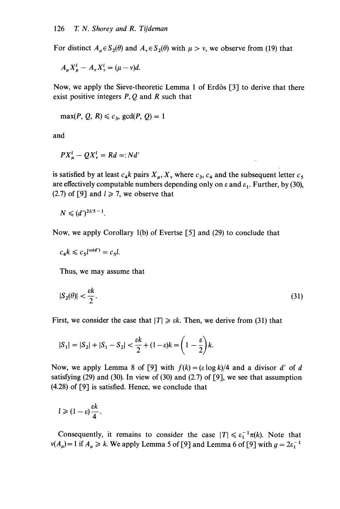For distinct  $A_u \in S_2(\theta)$  and  $A_v \in S_2(\theta)$  with  $\mu > v$ , we observe from (19) that

 $A_u X_u^l - A_v X_v^l = (\mu - v)d$ .

Now, we apply the Sieve-theoretic Lemma 1 of Erdôs [3] to derive that there exist positive integers P, Q and R such that

 $max(P, Q, R) \leq c_3$ ,  $gcd(P, Q) = 1$ 

and

$$
PX_u^l - QX_v^l = Rd =: Nd'
$$

is satisfied by at least  $c_4k$  pairs  $X_{\mu}$ ,  $X_{\nu}$  where  $c_3$ ,  $c_4$  and the subsequent letter  $c_5$ are effectively computable numbers depending only on  $\varepsilon$  and  $\varepsilon_1$ . Further, by (30), (2.7) of [9] and  $l \ge 7$ , we observe that

$$
N\leqslant (d')^{2l/5-1}
$$

Now, we apply Corollary 1(b) of Evertse [5] and (29) to conclude that

$$
c_4k \leqslant c_5l^{\omega(d')} = c_5l.
$$

Thus, we may assume that

$$
|S_2(\theta)| < \frac{\varepsilon k}{2}.\tag{31}
$$

First, we consider the case that  $|T| \geq \varepsilon k$ . Then, we derive from (31) that

$$
|S_1| = |S_2| + |S_1 - S_2| < \frac{\varepsilon k}{2} + (1 - \varepsilon)k = \left(1 - \frac{\varepsilon}{2}\right)k.
$$

Now, we apply Lemma 8 of [9] with  $f(k) = (\varepsilon \log k)/4$  and a divisor d' of d satisfying  $(29)$  and  $(30)$ . In view of  $(30)$  and  $(2.7)$  of  $[9]$ , we see that assumption (4.28) of [9] is satisfied. Hence, we conclude that

$$
l\geqslant (1-\varepsilon)\frac{\varepsilon k}{4}.
$$

Consequently, it remains to consider the case  $|T| \le \varepsilon_1^{-1}\pi(k)$ . Note that  $v(A_\mu) = 1$  if  $A_\mu \ge k$ . We apply Lemma 5 of [9] and Lemma 6 of [9] with  $g = 2\varepsilon_1^{-1}$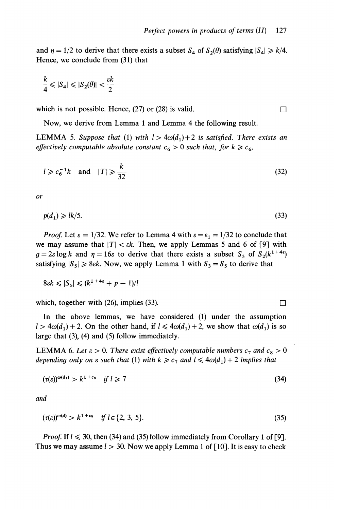and  $\eta = 1/2$  to derive that there exists a subset  $S_4$  of  $S_2(\theta)$  satisfying  $|S_4| \ge k/4$ . Hence, we conclude from (31) that

$$
\frac{k}{4}\leqslant |\mathcal{S}_4|\leqslant |\mathcal{S}_2(\theta)|<\frac{\varepsilon k}{2}
$$

which is not possible. Hence, (27) or (28) is valid.  $\Box$ 

Now, we derive from Lemma 1 and Lemma 4 the following result.

**LEMMA** 5. Suppose that (1) with  $l > 4\omega(d_1) + 2$  is satisfied. There exists an effectively computable absolute constant  $c_6 > 0$  such that, for  $k \geq c_6$ ,

$$
l \geqslant c_6^{-1}k \quad \text{and} \quad |T| \geqslant \frac{k}{32} \tag{32}
$$

or

$$
p(d_1) \geqslant lk/5. \tag{33}
$$

*Proof.* Let  $\varepsilon = 1/32$ . We refer to Lemma 4 with  $\varepsilon = \varepsilon_1 = 1/32$  to conclude that we may assume that  $|T| < \varepsilon k$ . Then, we apply Lemmas 5 and 6 of [9] with  $g = 2\varepsilon \log k$  and  $\eta = 16\varepsilon$  to derive that there exists a subset  $S_5$  of  $S_2(k^{1+4\varepsilon})$ satisfying  $|S_5| \ge 8\varepsilon k$ . Now, we apply Lemma 1 with  $S_3 = S_5$  to derive that

$$
8\epsilon k \leqslant |S_5| \leqslant (k^{1+4\epsilon} + p - 1)/l
$$

which, together with (26), implies (33).  $\Box$ 

In the above lemmas, we have considered (1) under the assumption  $1 > 4\omega(d_1) + 2$ . On the other hand, if  $1 \leq 4\omega(d_1) + 2$ , we show that  $\omega(d_1)$  is so large that (3), (4) and (5) follow immediately.

LEMMA 6. Let  $\varepsilon > 0$ . There exist effectively computable numbers  $c_7$  and  $c_8 > 0$ depending only on  $\varepsilon$  such that (1) with  $k \geq c_7$  and  $l \leq 4\omega(d_1) + 2$  implies that

$$
(\tau(\varepsilon))^{\omega(d_1)} > k^{1+c_8} \quad \text{if } l \geqslant 7 \tag{34}
$$

and

$$
(\tau(\varepsilon))^{\omega(d)} > k^{1+\varepsilon_8} \quad \text{if } l \in \{2, 3, 5\}. \tag{35}
$$

*Proof.* If  $l \le 30$ , then (34) and (35) follow immediately from Corollary 1 of [9]. Thus we may assume  $l > 30$ . Now we apply Lemma 1 of [10]. It is easy to check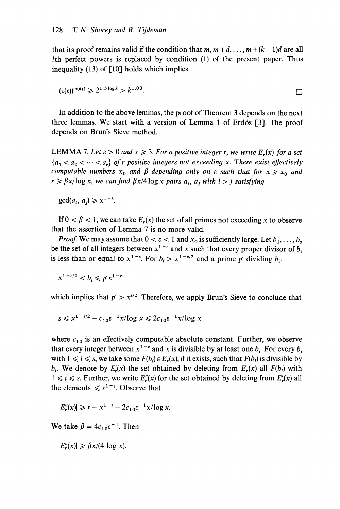that its proof remains valid if the condition that  $m, m+d, \ldots, m+(k-1)d$  are all Ith perfect powers is replaced by condition  $(1)$  of the present paper. Thus inequality  $(13)$  of  $\lceil 10 \rceil$  holds which implies

$$
(\tau(\varepsilon))^{\omega(d_1)} \geqslant 2^{1.5\log k} > k^{1.03}.
$$

In addition to the above lemmas, the proof of Theorem 3 depends on the next three lemmas. We start with a version of Lemma 1 of Erdôs [3]. The proof depends on Brun's Sieve method.

LEMMA 7. Let  $\varepsilon > 0$  and  $x \ge 3$ . For a positive integer r, we write  $E_r(x)$  for a set  $\{a_1 < a_2 < \cdots < a_r\}$  of r positive integers not exceeding x. There exist effectively computable numbers  $x_0$  and  $\beta$  depending only on  $\varepsilon$  such that for  $x \ge x_0$  and  $r \ge \beta x/\log x$ , we can find  $\beta x/4 \log x$  pairs  $a_i$ ,  $a_j$  with  $i > j$  satisfying

 $gcd(a_i, a_i) \geq x^{1-\epsilon}$ .

If  $0 < \beta < 1$ , we can take  $E_r(x)$  the set of all primes not exceeding x to observe that the assertion of Lemma 7 is no more valid.

*Proof.* We may assume that  $0 < \varepsilon < 1$  and  $x_0$  is sufficiently large. Let  $b_1, \ldots, b_s$ be the set of all integers between  $x^{1-\epsilon}$  and x such that every proper divisor of  $b_i$ is less than or equal to  $x^{1-\epsilon}$ . For  $b_i > x^{1-\epsilon/2}$  and a prime p' dividing  $b_i$ ,

 $x^{1-\epsilon/2} < b_i \leqslant p'x^{1-\epsilon}$ 

which implies that  $p' > x^{t/2}$ . Therefore, we apply Brun's Sieve to conclude that

$$
s \leq x^{1-\epsilon/2} + c_{10} \epsilon^{-1} x / \log x \leq 2c_{10} \epsilon^{-1} x / \log x
$$

where  $c_{10}$  is an effectively computable absolute constant. Further, we observe that every integer between  $x^{1-\epsilon}$  and x is divisible by at least one  $b_i$ . For every  $b_i$ with  $1 \le i \le s$ , we take some  $F(b_i) \in E_r(x)$ , if it exists, such that  $F(b_i)$  is divisible by  $b_i$ . We denote by  $E'_r(x)$  the set obtained by deleting from  $E_r(x)$  all  $F(b_i)$  with  $1 \le i \le s$ . Further, we write  $E''_r(x)$  for the set obtained by deleting from  $E'_r(x)$  all the elements  $\leq x^{1-\epsilon}$ . Observe that

 $|E''_r(x)| \ge r - x^{1-\epsilon} - 2c_{10}\epsilon^{-1}x/\log x.$ 

We take  $\beta = 4c_{10}\epsilon^{-1}$ . Then

 $|E''_r(x)| \geq \beta x/(4 \log x).$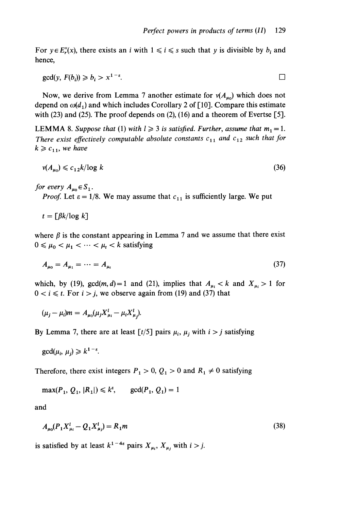For  $y \in E''_r(x)$ , there exists an i with  $1 \le i \le s$  such that y is divisible by  $b_i$  and hence,

$$
\gcd(y, F(b_i)) \geq b_i > x^{1-\epsilon}.
$$

Now, we derive from Lemma 7 another estimate for  $v(A_{\mu_0})$  which does not depend on  $\omega(d_1)$  and which includes Corollary 2 of [10]. Compare this estimate with (23) and (25). The proof depends on (2), (16) and a theorem of Evertse [5].

**LEMMA** 8. Suppose that (1) with  $l \geq 3$  is satisfied. Further, assume that  $m_1 = 1$ . There exist effectively computable absolute constants  $c_{11}$  and  $c_{12}$  such that for  $k \geq c_{11}$ , we have

$$
v(A_{u0}) \leqslant c_{12} k / \log k \tag{36}
$$

for every  $A_{\mu_0} \in S_1$ .

*Proof.* Let  $\varepsilon = 1/8$ . We may assume that  $c_{11}$  is sufficiently large. We put

 $t = \lceil \beta k / \log k \rceil$ 

where  $\beta$  is the constant appearing in Lemma 7 and we assume that there exist  $0 \leq \mu_0 < \mu_1 < \cdots < \mu_t < k$  satisfying

$$
A_{\mu_0} = A_{\mu_1} = \dots = A_{\mu_t} \tag{37}
$$

which, by (19),  $gcd(m, d) = 1$  and (21), implies that  $A_{\mu_i} < k$  and  $X_{\mu_i} > 1$  for  $0 < i \leq t$ . For  $i > j$ , we observe again from (19) and (37) that

$$
(\mu_j - \mu_i)m = A_{\mu_0}(\mu_j X_{\mu_i}^l - \mu_i X_{\mu_i}^l).
$$

By Lemma 7, there are at least  $[t/5]$  pairs  $\mu_i$ ,  $\mu_j$  with  $i > j$  satisfying

 $gcd(\mu_i, \mu_i) \geq k^{1-\epsilon}.$ 

Therefore, there exist integers  $P_1 > 0$ ,  $Q_1 > 0$  and  $R_1 \neq 0$  satisfying

$$
\max(P_1, Q_1, |R_1|) \le k^{\varepsilon}, \quad \gcd(P_1, Q_1) = 1
$$

and

$$
A_{\mu 0}(P_1 X_{\mu i}^l - Q_1 X_{\mu j}^l) = R_1 m \tag{38}
$$

is satisfied by at least  $k^{1-4\varepsilon}$  pairs  $X_{\mu_i}$ ,  $X_{\mu_j}$  with  $i > j$ .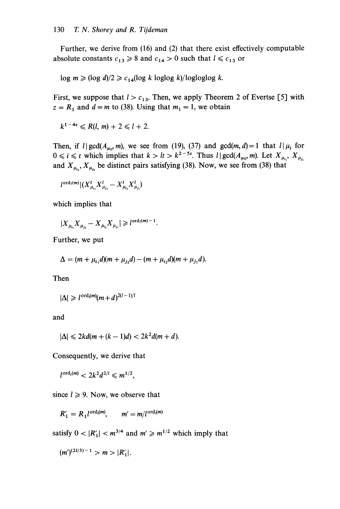Further, we derive from (16) and (2) that there exist effectively computable absolute constants  $c_{13} \ge 8$  and  $c_{14} > 0$  such that  $l \le c_{13}$  or

 $log m \ge (log d)/2 \ge c_{14} (log k log log k)/log log log k$ .

First, we suppose that  $l > c_{13}$ . Then, we apply Theorem 2 of Evertse [5] with  $z = R_1$  and  $d = m$  to (38). Using that  $m_1 = 1$ , we obtain

$$
k^{1-4\epsilon} \le R(l, m) + 2 \le l+2.
$$

Then, if  $l | gcd(A_{\mu_0}, m)$ , we see from (19), (37) and  $gcd(m, d) = 1$  that  $l | \mu_i$  for  $0 \le i \le t$  which implies that  $k > l_t > k^{2-5\varepsilon}$ . Thus  $l | \gcd(A_{\mu_0}, m)$ . Let  $X_{\mu_i}$ ,  $X_{\mu_i}$ and  $X_{\mu_i}$ ,  $X_{\mu_i}$  be distinct pairs satisfying (38). Now, we see from (38) that

$$
l^{\text{ord}_l(m)}|(X^l_{\mu_{i_1}}X^l_{\mu_{j_2}}-X^l_{\mu_{i_2}}X^l_{\mu_{j_1}})
$$

which implies that

$$
|X_{\mu_{i_1}} X_{\mu_{j_2}} - X_{\mu_{i_2}} X_{\mu_{j_1}}| \geq l^{\text{ord}_l(m)-1}.
$$

Further, we put

$$
\Delta = (m + \mu_{i_1}d)(m + \mu_{j_2}d) - (m + \mu_{i_2}d)(m + \mu_{j_1}d).
$$

Then

$$
|\Delta| \geq l^{\mathrm{ord}_l(m)}(m+d)^{2(l-1)/l}
$$

and

$$
|\Delta| \leqslant 2kd(m+(k-1)d) < 2k^2d(m+d).
$$

Consequently, we derive that

 $l^{\text{ord}_{l}(m)} < 2k^2d^{2/l} \leq m^{1/2}.$ 

since  $l \geq 9$ . Now, we observe that

$$
R'_1 = R_1 l^{\mathrm{ord}_i(m)}, \qquad m' = m/l^{\mathrm{ord}_i(m)}
$$

satisfy  $0 < |R'_1| < m^{3/4}$  and  $m' \ge m^{1/2}$  which imply that

$$
(m')^{(2l/5)-1} > m > |R'_1|.
$$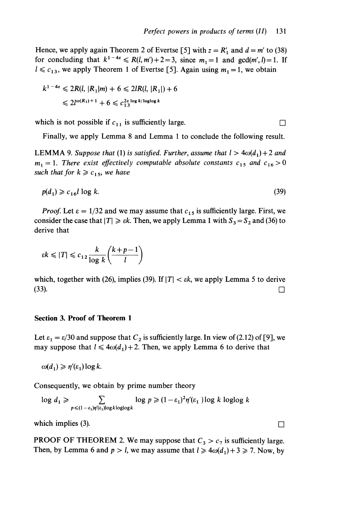Hence, we apply again Theorem 2 of Evertse [5] with  $z = R'_1$  and  $d = m'$  to (38) for concluding that  $k^{1-4\varepsilon} \le R(l, m') + 2 = 3$ , since  $m_1 = 1$  and  $gcd(m', l) = 1$ . If  $l \leq c_{13}$ , we apply Theorem 1 of Evertse [5]. Again using  $m_1 = 1$ , we obtain

$$
k^{1-4\varepsilon} \leq 2R(l, |R_1|m) + 6 \leq 2lR(l, |R_1|) + 6
$$
  

$$
\leq 2l^{\omega(R_1)+1} + 6 \leq c_{13}^{2\varepsilon} \log k / \log \log k
$$

which is not possible if  $c_{11}$  is sufficiently large.

Finally, we apply Lemma 8 and Lemma 1 to conclude the following result.

**LEMMA** 9. Suppose that (1) is satisfied. Further, assume that  $l > 4\omega(d_1) + 2$  and  $m_1 = 1$ . There exist effectively computable absolute constants  $c_{15}$  and  $c_{16} > 0$ such that for  $k \ge c_{15}$ , we have

$$
p(d_1) \geqslant c_{16}l \log k. \tag{39}
$$

*Proof.* Let  $\varepsilon = 1/32$  and we may assume that  $c_{15}$  is sufficiently large. First, we consider the case that  $|T| \ge \varepsilon k$ . Then, we apply Lemma 1 with  $S_3 = S_2$  and (36) to derive that

$$
\varepsilon k \leqslant |T| \leqslant c_{12} \frac{k}{\log k} \left( \frac{k+p-1}{l} \right)
$$

which, together with (26), implies (39). If  $|T| < \varepsilon k$ , we apply Lemma 5 to derive  $(33)$ .

### Section 3. Proof of Theorem 1

Let  $\varepsilon_1 = \varepsilon/30$  and suppose that  $C_2$  is sufficiently large. In view of (2.12) of [9], we may suppose that  $l \leq 4\omega(d_1)+2$ . Then, we apply Lemma 6 to derive that

 $\omega(d_1) \geq \eta'(\varepsilon_1) \log k$ .

Consequently, we obtain by prime number theory

 $\log d_1 \geq \sum_{p \leq (1-\varepsilon_1)\eta'(\varepsilon_1)\log k \log \log k} \log p \geq (1-\varepsilon_1)^2 \eta'(\varepsilon_1) \log k \log \log k$ 

which implies (3).  $\Box$ 

PROOF OF THEOREM 2. We may suppose that  $C_3 > c_7$  is sufficiently large. Then, by Lemma 6 and  $p > l$ , we may assume that  $l \geq 4\omega(d_1) + 3 \geq 7$ . Now, by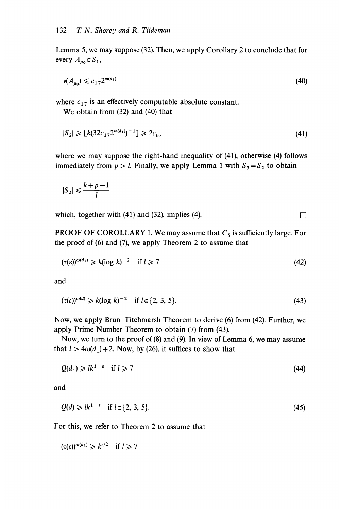Lemma 5, we may suppose (32). Then, we apply Corollary 2 to conclude that for every  $A_{\mu_0} \in S_1$ ,

$$
v(A_{\mu_0}) \leqslant c_{17} 2^{\omega(d_1)} \tag{40}
$$

where  $c_{17}$  is an effectively computable absolute constant.

We obtain from (32) and (40) that

$$
|S_2| \ge [k(32c_{17}2^{\omega(d_1)})^{-1}] \ge 2c_6,\tag{41}
$$

where we may suppose the right-hand inequality of (41), otherwise (4) follows immediately from  $p > l$ . Finally, we apply Lemma 1 with  $S_3 = S_2$  to obtain

$$
|S_2| \leqslant \frac{k+p-1}{l}
$$

which, together with (41) and (32), implies (4).

**PROOF OF COROLLARY 1. We may assume that**  $C_5$  **is sufficiently large. For** the proof of (6) and (7), we apply Theorem 2 to assume that

$$
(\tau(\varepsilon))^{\omega(d_1)} \ge k(\log k)^{-2} \quad \text{if } l \ge 7 \tag{42}
$$

and

$$
(\tau(\varepsilon))^{\omega(d)} \ge k(\log k)^{-2} \quad \text{if } l \in \{2, 3, 5\}. \tag{43}
$$

Now, we apply Brun-Titchmarsh Theorem to derive (6) from (42). Further, we apply Prime Number Theorem to obtain (7) from (43).

Now, we turn to the proof of (8) and (9). In view of Lemma 6, we may assume that  $l > 4\omega(d_1) + 2$ . Now, by (26), it suffices to show that

$$
Q(d_1) \geq l k^{1-\epsilon} \quad \text{if } l \geq 7 \tag{44}
$$

and

$$
Q(d) \geq l k^{1-\epsilon} \quad \text{if } l \in \{2, 3, 5\}. \tag{45}
$$

For this, we refer to Theorem 2 to assume that

 $(\tau(\varepsilon))^{\omega(d_1)} \geq k^{\varepsilon/2}$  if  $l \geq 7$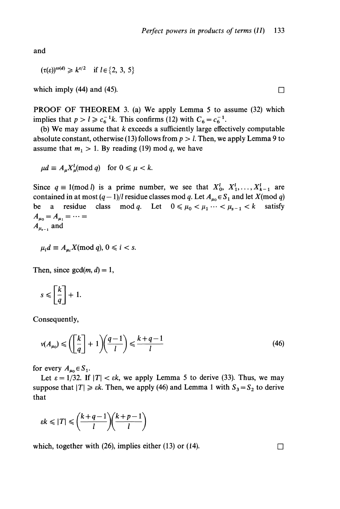and

 $(\tau(\varepsilon))^{\omega(d)} \geq k^{\varepsilon/2}$  if  $l \in \{2, 3, 5\}$ 

which imply (44) and (45).  $\Box$ 

PROOF OF THEOREM 3. (a) We apply Lemma 5 to assume (32) which implies that  $p > l \geq c_6^{-1}k$ . This confirms (12) with  $C_6 = c_6^{-1}$ .

(b) We may assume that  $k$  exceeds a sufficiently large effectively computable absolute constant, otherwise (13) follows from  $p > l$ . Then, we apply Lemma 9 to assume that  $m_1 > 1$ . By reading (19) mod q, we have

 $\mu d \equiv A_{\mu} X_{\mu}^{l}(\text{mod } q)$  for  $0 \le \mu < k$ .<br>Since  $q \equiv 1(\text{mod } l)$  is a prime number, we see that  $X_{0}^{l}, X_{1}^{l},..., X_{k-1}^{l}$  are contained in at most  $(q-1)/l$  residue classes mod q. Let  $A_{u_0} \in S_1$  and let  $X \text{ (mod } q)$ be a residue class mod q. Let  $0 \le \mu_0 < \mu_1 \cdots < \mu_{s-1} < k$  satisfy  $A_{\mu_0} = A_{\mu_1} = \cdots =$  $A_{\mu_{s-1}}$  and

$$
\mu_i d \equiv A_{\mu i} X \pmod{q}, 0 \leq i < s.
$$

Then, since  $gcd(m, d) = 1$ ,

$$
s \leqslant \left[\frac{k}{q}\right] + 1.
$$

Consequently,

$$
\nu(A_{\mu_0}) \leqslant \left(\left[\frac{k}{q}\right] + 1\right)\left(\frac{q-1}{l}\right) \leqslant \frac{k+q-1}{l} \tag{46}
$$

for every  $A_{\mu_0} \in S_1$ .

Let  $\varepsilon = 1/32$ . If  $|T| < \varepsilon k$ , we apply Lemma 5 to derive (33). Thus, we may suppose that  $|T| \geq \varepsilon k$ . Then, we apply (46) and Lemma 1 with  $S_3 = S_2$  to derive that

$$
\varepsilon k \leqslant |T| \leqslant \left(\frac{k+q-1}{l}\right)\left(\frac{k+p-1}{l}\right)
$$

which, together with (26), implies either (13) or (14).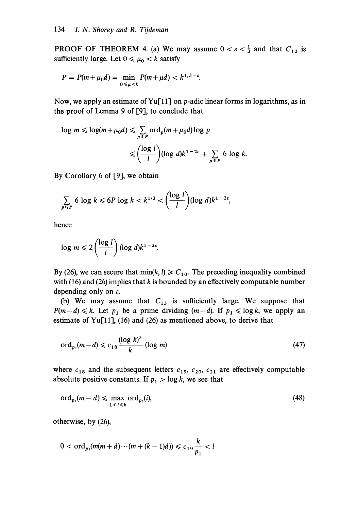**PROOF OF THEOREM 4.** (a) We may assume  $0 < \varepsilon < \frac{1}{3}$  and that  $C_{12}$  is sufficiently large. Let  $0 \leq \mu_0 < k$  satisfy

$$
P = P(m + \mu_0 d) = \min_{0 \le \mu < k} P(m + \mu d) < k^{1/3 - \varepsilon}.
$$

Now, we apply an estimate of Yu<sup>[11]</sup> on p-adic linear forms in logarithms, as in the proof of Lemma 9 of [9], to conclude that

$$
\log m \le \log(m + \mu_0 d) \le \sum_{p \le P} \text{ord}_p(m + \mu_0 d) \log p
$$
  

$$
\le \left(\frac{\log l}{l}\right) (\log d) k^{1 - 2\varepsilon} + \sum_{p \le P} 6 \log k
$$

By Corollary 6 of [9], we obtain

$$
\sum_{p\leq P} 6 \log k \leq 6P \log k < k^{1/3} < \left(\frac{\log l}{l}\right) (\log d) k^{1-2\varepsilon},
$$

hence

$$
\log m \leqslant 2\left(\frac{\log l}{l}\right)(\log d)k^{1-2\varepsilon}.
$$

By (26), we can secure that  $\min(k, l) \geq C_{10}$ . The preceding inequality combined with (16) and (26) implies that  $k$  is bounded by an effectively computable number depending only on e.

(b) We may assume that  $C_{13}$  is sufficiently large. We suppose that  $P(m-d) \le k$ . Let  $p_1$  be a prime dividing  $(m-d)$ . If  $p_1 \le \log k$ , we apply an estimate of Yu[11], (16) and (26) as mentioned above, to derive that

$$
\operatorname{ord}_{p_1}(m-d) \leqslant c_{18} \frac{(\log k)^5}{k} \left(\log m\right) \tag{47}
$$

where  $c_{18}$  and the subsequent letters  $c_{19}$ ,  $c_{20}$ ,  $c_{21}$  are effectively computable absolute positive constants. If  $p_1 > \log k$ , we see that

$$
\operatorname{ord}_{p_1}(m-d) \leqslant \max_{1 \leqslant i \leqslant k} \operatorname{ord}_{p_1}(i),\tag{48}
$$

otherwise, by (26),

$$
0 < \text{ord}_{p_1}(m(m+d)\cdots(m+(k-1)d)) \leq c_{19}\frac{k}{p_1} < l
$$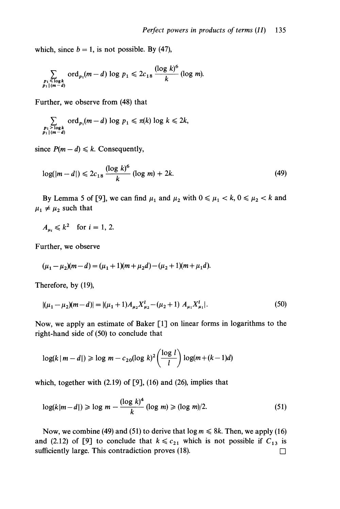which, since  $b = 1$ , is not possible. By (47),

$$
\sum_{\substack{p_1 \leqslant \log k \\ p_1 \mid (m-d)}} \text{ord}_{p_1}(m-d) \log p_1 \leqslant 2c_{18} \frac{(\log k)^6}{k} (\log m).
$$

Further, we observe from (48) that

$$
\sum_{\substack{p_1 > \log k \\ p_1 \mid (m-d)}} \text{ord}_{p_1}(m-d) \log p_1 \leqslant \pi(k) \log k \leqslant 2k,
$$

since  $P(m - d) \le k$ . Consequently,

$$
\log(|m - d|) \leq 2c_{18} \frac{(\log k)^6}{k} (\log m) + 2k. \tag{49}
$$

By Lemma 5 of [9], we can find  $\mu_1$  and  $\mu_2$  with  $0 \le \mu_1 < k$ ,  $0 \le \mu_2 < k$  and  $\mu_1 \neq \mu_2$  such that

$$
A_{\mu_i} \leqslant k^2 \quad \text{for } i = 1, 2.
$$

Further, we observe

$$
(\mu_1 - \mu_2)(m - d) = (\mu_1 + 1)(m + \mu_2 d) - (\mu_2 + 1)(m + \mu_1 d).
$$

Therefore, by (19),

$$
|(\mu_1 - \mu_2)(m - d)| = |(\mu_1 + 1)A_{\mu_2}X_{\mu_2}^l - (\mu_2 + 1)A_{\mu_1}X_{\mu_1}^l|.
$$
 (50)

Now, we apply an estimate of Baker [1] on linear forms in logarithms to the right-hand side of (50) to conclude that

$$
\log(k \mid m - d|) \geqslant \log m - c_{20} (\log k)^2 \left( \frac{\log l}{l} \right) \log(m + (k - 1)d)
$$

which, together with (2.19) of [9], (16) and (26), implies that

$$
\log(k|m-d|) \geqslant \log m - \frac{(\log k)^4}{k} \left(\log m\right) \geqslant (\log m)/2. \tag{51}
$$

Now, we combine (49) and (51) to derive that  $\log m \le 8k$ . Then, we apply (16) and (2.12) of [9] to conclude that  $k \leq c_{21}$  which is not possible if  $C_{13}$  is sufficiently large. This contradiction proves  $(18)$ .